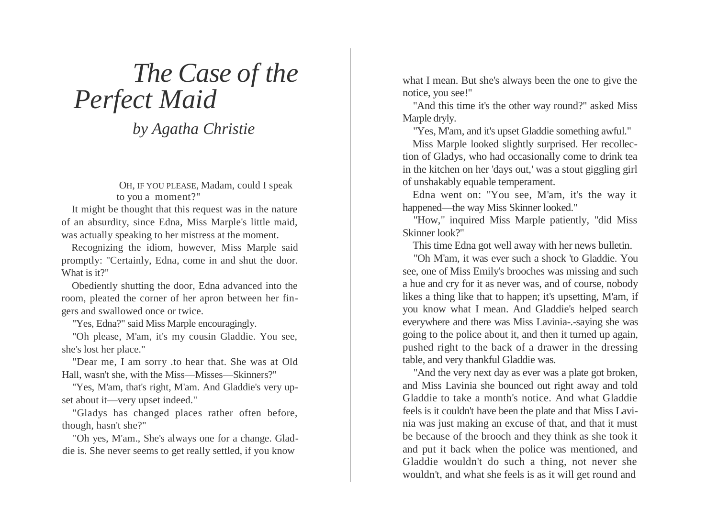## *The Case of the Perfect Maid*

*by Agatha Christie*

## OH, IF YOU PLEASE, Madam, could I speak to you a moment?"

It might be thought that this request was in the nature of an absurdity, since Edna, Miss Marple's little maid, was actually speaking to her mistress at the moment.

Recognizing the idiom, however, Miss Marple said promptly: "Certainly, Edna, come in and shut the door. What is it?"

Obediently shutting the door, Edna advanced into the room, pleated the corner of her apron between her fingers and swallowed once or twice.

"Yes, Edna?" said Miss Marple encouragingly.

"Oh please, M'am, it's my cousin Gladdie. You see, she's lost her place."

"Dear me, I am sorry .to hear that. She was at Old Hall, wasn't she, with the Miss—Misses—Skinners?"

"Yes, M'am, that's right, M'am. And Gladdie's very upset about it—very upset indeed."

"Gladys has changed places rather often before, though, hasn't she?"

"Oh yes, M'am., She's always one for a change. Gladdie is. She never seems to get really settled, if you know

what I mean. But she's always been the one to give the notice, you see!"

"And this time it's the other way round?" asked Miss Marple dryly.

"Yes, M'am, and it's upset Gladdie something awful."

Miss Marple looked slightly surprised. Her recollection of Gladys, who had occasionally come to drink tea in the kitchen on her 'days out,' was a stout giggling girl of unshakably equable temperament.

Edna went on: "You see, M'am, it's the way it happened—the way Miss Skinner looked."

"How," inquired Miss Marple patiently, "did Miss Skinner look?"

This time Edna got well away with her news bulletin.

"Oh M'am, it was ever such a shock 'to Gladdie. You see, one of Miss Emily's brooches was missing and such a hue and cry for it as never was, and of course, nobody likes a thing like that to happen; it's upsetting, M'am, if you know what I mean. And Gladdie's helped search everywhere and there was Miss Lavinia-.-saying she was going to the police about it, and then it turned up again, pushed right to the back of a drawer in the dressing table, and very thankful Gladdie was.

"And the very next day as ever was a plate got broken, and Miss Lavinia she bounced out right away and told Gladdie to take a month's notice. And what Gladdie feels is it couldn't have been the plate and that Miss Lavinia was just making an excuse of that, and that it must be because of the brooch and they think as she took it and put it back when the police was mentioned, and Gladdie wouldn't do such a thing, not never she wouldn't, and what she feels is as it will get round and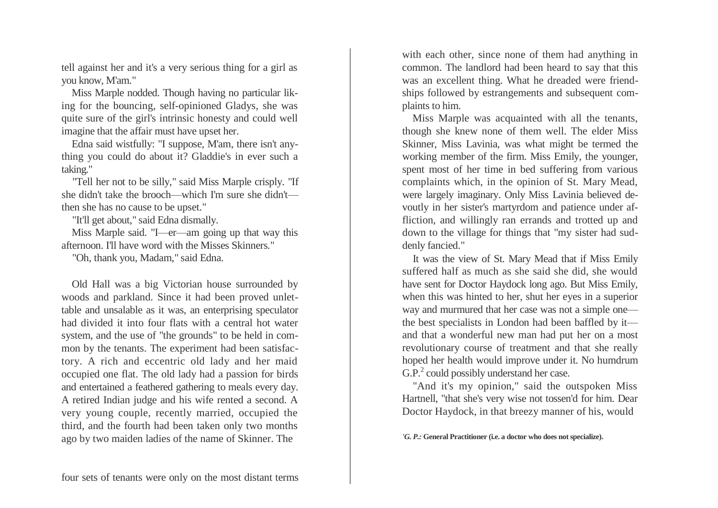tell against her and it's a very serious thing for a girl as you know, M'am."

Miss Marple nodded. Though having no particular liking for the bouncing, self-opinioned Gladys, she was quite sure of the girl's intrinsic honesty and could well imagine that the affair must have upset her.

Edna said wistfully: "I suppose, M'am, there isn't anything you could do about it? Gladdie's in ever such a taking."

"Tell her not to be silly," said Miss Marple crisply. "If she didn't take the brooch—which I'm sure she didn't then she has no cause to be upset."

"It'll get about," said Edna dismally.

Miss Marple said. "I—er—am going up that way this afternoon. I'll have word with the Misses Skinners."

"Oh, thank you, Madam," said Edna.

Old Hall was a big Victorian house surrounded by woods and parkland. Since it had been proved unlettable and unsalable as it was, an enterprising speculator had divided it into four flats with a central hot water system, and the use of "the grounds" to be held in common by the tenants. The experiment had been satisfactory. A rich and eccentric old lady and her maid occupied one flat. The old lady had a passion for birds and entertained a feathered gathering to meals every day. A retired Indian judge and his wife rented a second. A very young couple, recently married, occupied the third, and the fourth had been taken only two months ago by two maiden ladies of the name of Skinner. The

with each other, since none of them had anything in common. The landlord had been heard to say that this was an excellent thing. What he dreaded were friendships followed by estrangements and subsequent complaints to him.

Miss Marple was acquainted with all the tenants, though she knew none of them well. The elder Miss Skinner, Miss Lavinia, was what might be termed the working member of the firm. Miss Emily, the younger, spent most of her time in bed suffering from various complaints which, in the opinion of St. Mary Mead, were largely imaginary. Only Miss Lavinia believed devoutly in her sister's martyrdom and patience under affliction, and willingly ran errands and trotted up and down to the village for things that "my sister had suddenly fancied."

It was the view of St. Mary Mead that if Miss Emily suffered half as much as she said she did, she would have sent for Doctor Haydock long ago. But Miss Emily, when this was hinted to her, shut her eyes in a superior way and murmured that her case was not a simple one the best specialists in London had been baffled by it and that a wonderful new man had put her on a most revolutionary course of treatment and that she really hoped her health would improve under it. No humdrum  $G.P.<sup>2</sup>$  could possibly understand her case.

"And it's my opinion," said the outspoken Miss Hartnell, "that she's very wise not tossen'd for him. Dear Doctor Haydock, in that breezy manner of his, would

*'G. P.:* **General Practitioner (i.e. a doctor who does not specialize).**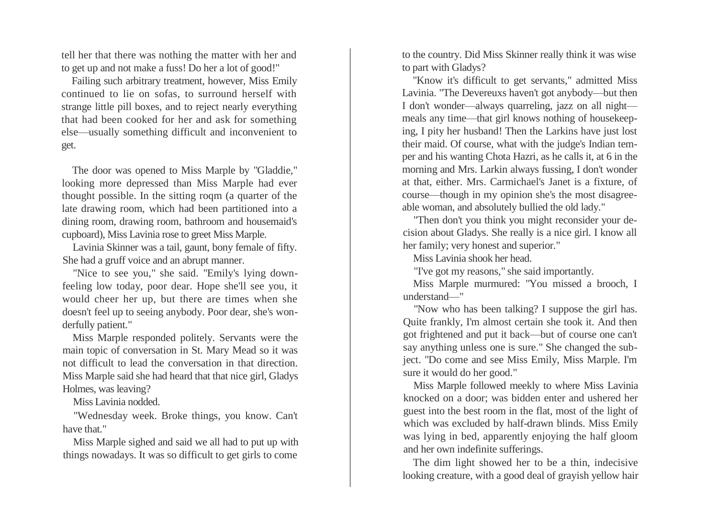tell her that there was nothing the matter with her and to get up and not make a fuss! Do her a lot of good!"

Failing such arbitrary treatment, however, Miss Emily continued to lie on sofas, to surround herself with strange little pill boxes, and to reject nearly everything that had been cooked for her and ask for something else—usually something difficult and inconvenient to get.

The door was opened to Miss Marple by "Gladdie," looking more depressed than Miss Marple had ever thought possible. In the sitting roqm (a quarter of the late drawing room, which had been partitioned into a dining room, drawing room, bathroom and housemaid's cupboard), Miss Lavinia rose to greet Miss Marple.

Lavinia Skinner was a tail, gaunt, bony female of fifty. She had a gruff voice and an abrupt manner.

"Nice to see you," she said. "Emily's lying downfeeling low today, poor dear. Hope she'll see you, it would cheer her up, but there are times when she doesn't feel up to seeing anybody. Poor dear, she's wonderfully patient."

Miss Marple responded politely. Servants were the main topic of conversation in St. Mary Mead so it was not difficult to lead the conversation in that direction. Miss Marple said she had heard that that nice girl, Gladys Holmes, was leaving?

Miss Lavinia nodded.

"Wednesday week. Broke things, you know. Can't have that."

Miss Marple sighed and said we all had to put up with things nowadays. It was so difficult to get girls to come to the country. Did Miss Skinner really think it was wise to part with Gladys?

"Know it's difficult to get servants," admitted Miss Lavinia. "The Devereuxs haven't got anybody—but then I don't wonder—always quarreling, jazz on all night meals any time—that girl knows nothing of housekeeping, I pity her husband! Then the Larkins have just lost their maid. Of course, what with the judge's Indian temper and his wanting Chota Hazri, as he calls it, at 6 in the morning and Mrs. Larkin always fussing, I don't wonder at that, either. Mrs. Carmichael's Janet is a fixture, of course—though in my opinion she's the most disagreeable woman, and absolutely bullied the old lady."

"Then don't you think you might reconsider your decision about Gladys. She really is a nice girl. I know all her family; very honest and superior."

Miss Lavinia shook her head.

"I've got my reasons," she said importantly.

Miss Marple murmured: "You missed a brooch, I understand—"

"Now who has been talking? I suppose the girl has. Quite frankly, I'm almost certain she took it. And then got frightened and put it back—but of course one can't say anything unless one is sure." She changed the subject. "Do come and see Miss Emily, Miss Marple. I'm sure it would do her good."

Miss Marple followed meekly to where Miss Lavinia knocked on a door; was bidden enter and ushered her guest into the best room in the flat, most of the light of which was excluded by half-drawn blinds. Miss Emily was lying in bed, apparently enjoying the half gloom and her own indefinite sufferings.

The dim light showed her to be a thin, indecisive looking creature, with a good deal of grayish yellow hair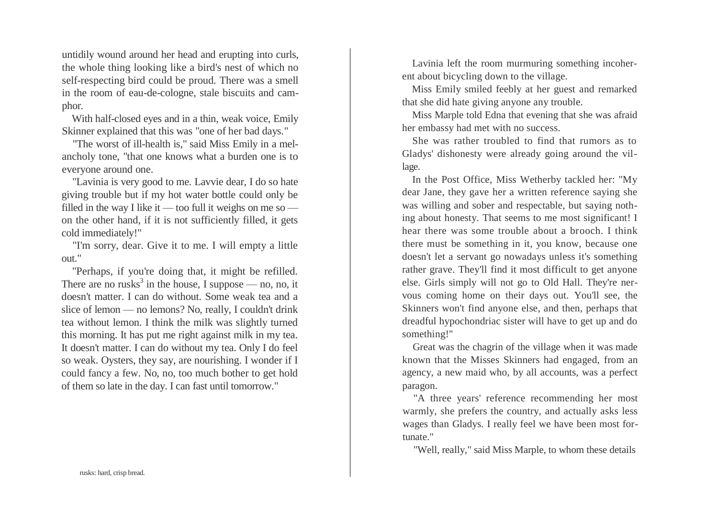untidily wound around her head and erupting into curls, the whole thing looking like a bird's nest of which no self-respecting bird could be proud. There was a smell in the room of eau-de-cologne, stale biscuits and camphor.

With half-closed eyes and in a thin, weak voice, Emily Skinner explained that this was "one of her bad days."

"The worst of ill-health is," said Miss Emily in a melancholy tone, "that one knows what a burden one is to everyone around one.

"Lavinia is very good to me. Lavvie dear, I do so hate giving trouble but if my hot water bottle could only be filled in the way I like it — too full it weighs on me so on the other hand, if it is not sufficiently filled, it gets cold immediately!"

"I'm sorry, dear. Give it to me. I will empty a little out."

"Perhaps, if you're doing that, it might be refilled. There are no rusks<sup>3</sup> in the house, I suppose — no, no, it doesn't matter. I can do without. Some weak tea and a slice of lemon — no lemons? No, really, I couldn't drink tea without lemon. I think the milk was slightly turned this morning. It has put me right against milk in my tea. It doesn't matter. I can do without my tea. Only I do feel so weak. Oysters, they say, are nourishing. I wonder if I could fancy a few. No, no, too much bother to get hold of them so late in the day. I can fast until tomorrow."

Lavinia left the room murmuring something incoherent about bicycling down to the village.

Miss Emily smiled feebly at her guest and remarked that she did hate giving anyone any trouble.

Miss Marple told Edna that evening that she was afraid her embassy had met with no success.

She was rather troubled to find that rumors as to Gladys' dishonesty were already going around the village.

In the Post Office, Miss Wetherby tackled her: "My dear Jane, they gave her a written reference saying she was willing and sober and respectable, but saying nothing about honesty. That seems to me most significant! I hear there was some trouble about a brooch. I think there must be something in it, you know, because one doesn't let a servant go nowadays unless it's something rather grave. They'll find it most difficult to get anyone else. Girls simply will not go to Old Hall. They're nervous coming home on their days out. You'll see, the Skinners won't find anyone else, and then, perhaps that dreadful hypochondriac sister will have to get up and do something!"

Great was the chagrin of the village when it was made known that the Misses Skinners had engaged, from an agency, a new maid who, by all accounts, was a perfect paragon.

"A three years' reference recommending her most warmly, she prefers the country, and actually asks less wages than Gladys. I really feel we have been most fortunate."

"Well, really," said Miss Marple, to whom these details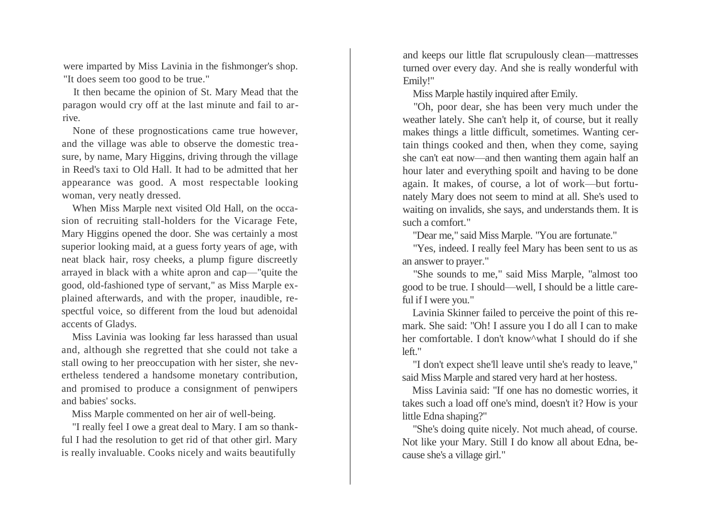were imparted by Miss Lavinia in the fishmonger's shop. "It does seem too good to be true."

It then became the opinion of St. Mary Mead that the paragon would cry off at the last minute and fail to arrive.

None of these prognostications came true however, and the village was able to observe the domestic treasure, by name, Mary Higgins, driving through the village in Reed's taxi to Old Hall. It had to be admitted that her appearance was good. A most respectable looking woman, very neatly dressed.

When Miss Marple next visited Old Hall, on the occasion of recruiting stall-holders for the Vicarage Fete, Mary Higgins opened the door. She was certainly a most superior looking maid, at a guess forty years of age, with neat black hair, rosy cheeks, a plump figure discreetly arrayed in black with a white apron and cap—"quite the good, old-fashioned type of servant," as Miss Marple explained afterwards, and with the proper, inaudible, respectful voice, so different from the loud but adenoidal accents of Gladys.

Miss Lavinia was looking far less harassed than usual and, although she regretted that she could not take a stall owing to her preoccupation with her sister, she nevertheless tendered a handsome monetary contribution, and promised to produce a consignment of penwipers and babies' socks.

Miss Marple commented on her air of well-being.

"I really feel I owe a great deal to Mary. I am so thankful I had the resolution to get rid of that other girl. Mary is really invaluable. Cooks nicely and waits beautifully

and keeps our little flat scrupulously clean—mattresses turned over every day. And she is really wonderful with Emily!"

Miss Marple hastily inquired after Emily.

"Oh, poor dear, she has been very much under the weather lately. She can't help it, of course, but it really makes things a little difficult, sometimes. Wanting certain things cooked and then, when they come, saying she can't eat now—and then wanting them again half an hour later and everything spoilt and having to be done again. It makes, of course, a lot of work—but fortunately Mary does not seem to mind at all. She's used to waiting on invalids, she says, and understands them. It is such a comfort."

"Dear me," said Miss Marple. "You are fortunate."

"Yes, indeed. I really feel Mary has been sent to us as an answer to prayer."

"She sounds to me," said Miss Marple, "almost too good to be true. I should—well, I should be a little careful if I were you."

Lavinia Skinner failed to perceive the point of this remark. She said: "Oh! I assure you I do all I can to make her comfortable. I don't know^what I should do if she left."

"I don't expect she'll leave until she's ready to leave," said Miss Marple and stared very hard at her hostess.

Miss Lavinia said: "If one has no domestic worries, it takes such a load off one's mind, doesn't it? How is your little Edna shaping?"

"She's doing quite nicely. Not much ahead, of course. Not like your Mary. Still I do know all about Edna, because she's a village girl."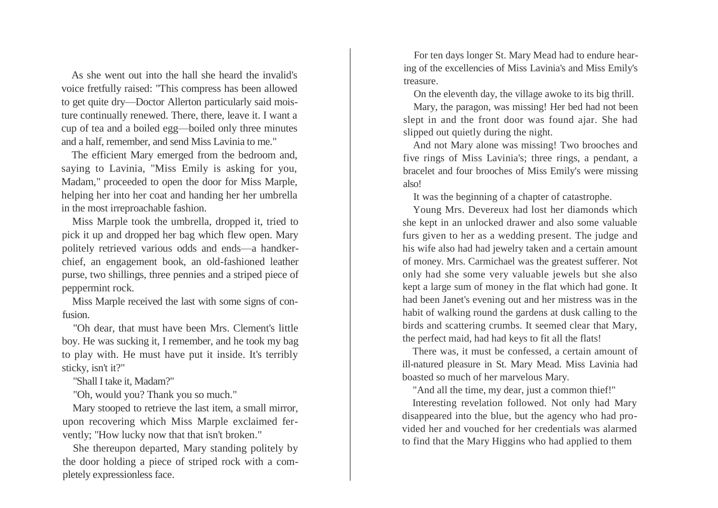As she went out into the hall she heard the invalid's voice fretfully raised: "This compress has been allowed to get quite dry—Doctor Allerton particularly said moisture continually renewed. There, there, leave it. I want a cup of tea and a boiled egg—boiled only three minutes and a half, remember, and send Miss Lavinia to me."

The efficient Mary emerged from the bedroom and, saying to Lavinia, "Miss Emily is asking for you, Madam," proceeded to open the door for Miss Marple, helping her into her coat and handing her her umbrella in the most irreproachable fashion.

Miss Marple took the umbrella, dropped it, tried to pick it up and dropped her bag which flew open. Mary politely retrieved various odds and ends—a handkerchief, an engagement book, an old-fashioned leather purse, two shillings, three pennies and a striped piece of peppermint rock.

Miss Marple received the last with some signs of confusion.

"Oh dear, that must have been Mrs. Clement's little boy. He was sucking it, I remember, and he took my bag to play with. He must have put it inside. It's terribly sticky, isn't it?"

"Shall I take it, Madam?"

"Oh, would you? Thank you so much."

Mary stooped to retrieve the last item, a small mirror, upon recovering which Miss Marple exclaimed fervently; "How lucky now that that isn't broken."

She thereupon departed, Mary standing politely by the door holding a piece of striped rock with a completely expressionless face.

For ten days longer St. Mary Mead had to endure hearing of the excellencies of Miss Lavinia's and Miss Emily's treasure.

On the eleventh day, the village awoke to its big thrill.

Mary, the paragon, was missing! Her bed had not been slept in and the front door was found ajar. She had slipped out quietly during the night.

And not Mary alone was missing! Two brooches and five rings of Miss Lavinia's; three rings, a pendant, a bracelet and four brooches of Miss Emily's were missing also!

It was the beginning of a chapter of catastrophe.

Young Mrs. Devereux had lost her diamonds which she kept in an unlocked drawer and also some valuable furs given to her as a wedding present. The judge and his wife also had had jewelry taken and a certain amount of money. Mrs. Carmichael was the greatest sufferer. Not only had she some very valuable jewels but she also kept a large sum of money in the flat which had gone. It had been Janet's evening out and her mistress was in the habit of walking round the gardens at dusk calling to the birds and scattering crumbs. It seemed clear that Mary, the perfect maid, had had keys to fit all the flats!

There was, it must be confessed, a certain amount of ill-natured pleasure in St. Mary Mead. Miss Lavinia had boasted so much of her marvelous Mary.

"And all the time, my dear, just a common thief!"

Interesting revelation followed. Not only had Mary disappeared into the blue, but the agency who had provided her and vouched for her credentials was alarmed to find that the Mary Higgins who had applied to them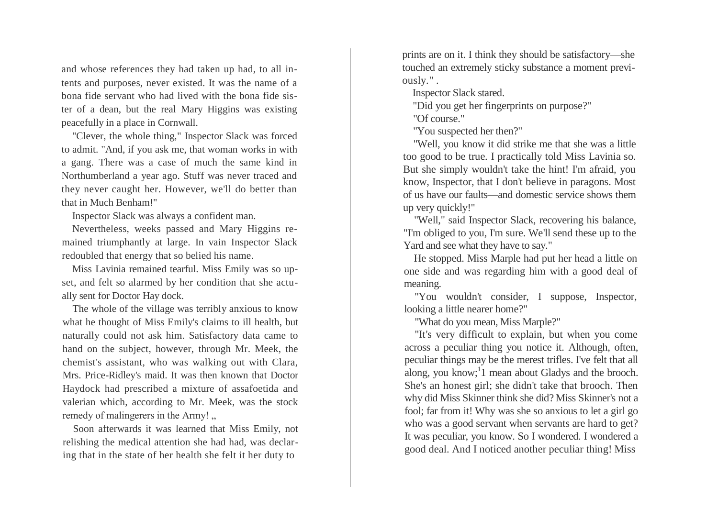and whose references they had taken up had, to all intents and purposes, never existed. It was the name of a bona fide servant who had lived with the bona fide sister of a dean, but the real Mary Higgins was existing peacefully in a place in Cornwall.

"Clever, the whole thing," Inspector Slack was forced to admit. "And, if you ask me, that woman works in with a gang. There was a case of much the same kind in Northumberland a year ago. Stuff was never traced and they never caught her. However, we'll do better than that in Much Benham!"

Inspector Slack was always a confident man.

Nevertheless, weeks passed and Mary Higgins remained triumphantly at large. In vain Inspector Slack redoubled that energy that so belied his name.

Miss Lavinia remained tearful. Miss Emily was so upset, and felt so alarmed by her condition that she actually sent for Doctor Hay dock.

The whole of the village was terribly anxious to know what he thought of Miss Emily's claims to ill health, but naturally could not ask him. Satisfactory data came to hand on the subject, however, through Mr. Meek, the chemist's assistant, who was walking out with Clara, Mrs. Price-Ridley's maid. It was then known that Doctor Haydock had prescribed a mixture of assafoetida and valerian which, according to Mr. Meek, was the stock remedy of malingerers in the Army!

Soon afterwards it was learned that Miss Emily, not relishing the medical attention she had had, was declaring that in the state of her health she felt it her duty to

prints are on it. I think they should be satisfactory—she touched an extremely sticky substance a moment previously." .

Inspector Slack stared.

"Did you get her fingerprints on purpose?"

"Of course."

"You suspected her then?"

"Well, you know it did strike me that she was a little too good to be true. I practically told Miss Lavinia so. But she simply wouldn't take the hint! I'm afraid, you know, Inspector, that I don't believe in paragons. Most of us have our faults—and domestic service shows them up very quickly!"

"Well," said Inspector Slack, recovering his balance, "I'm obliged to you, I'm sure. We'll send these up to the Yard and see what they have to say."

He stopped. Miss Marple had put her head a little on one side and was regarding him with a good deal of meaning.

"You wouldn't consider, I suppose, Inspector, looking a little nearer home?"

"What do you mean, Miss Marple?"

"It's very difficult to explain, but when you come across a peculiar thing you notice it. Although, often, peculiar things may be the merest trifles. I've felt that all along, you know;<sup>1</sup>1 mean about Gladys and the brooch. She's an honest girl; she didn't take that brooch. Then why did Miss Skinner think she did? Miss Skinner's not a fool; far from it! Why was she so anxious to let a girl go who was a good servant when servants are hard to get? It was peculiar, you know. So I wondered. I wondered a good deal. And I noticed another peculiar thing! Miss